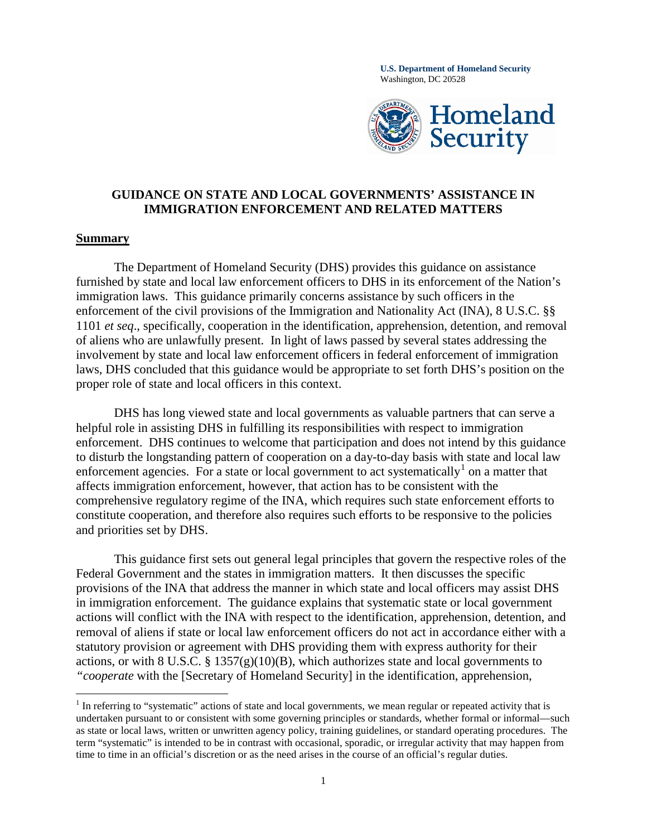**U.S. Department of Homeland Security** Washington, DC 20528



### **GUIDANCE ON STATE AND LOCAL GOVERNMENTS' ASSISTANCE IN IMMIGRATION ENFORCEMENT AND RELATED MATTERS**

#### **Summary**

 $\overline{a}$ 

The Department of Homeland Security (DHS) provides this guidance on assistance furnished by state and local law enforcement officers to DHS in its enforcement of the Nation's immigration laws. This guidance primarily concerns assistance by such officers in the enforcement of the civil provisions of the Immigration and Nationality Act (INA), 8 U.S.C. §§ 1101 *et seq*., specifically, cooperation in the identification, apprehension, detention, and removal of aliens who are unlawfully present. In light of laws passed by several states addressing the involvement by state and local law enforcement officers in federal enforcement of immigration laws, DHS concluded that this guidance would be appropriate to set forth DHS's position on the proper role of state and local officers in this context.

DHS has long viewed state and local governments as valuable partners that can serve a helpful role in assisting DHS in fulfilling its responsibilities with respect to immigration enforcement. DHS continues to welcome that participation and does not intend by this guidance to disturb the longstanding pattern of cooperation on a day-to-day basis with state and local law enforcement agencies. For a state or local government to act systematically<sup>[1](#page-0-0)</sup> on a matter that affects immigration enforcement, however, that action has to be consistent with the comprehensive regulatory regime of the INA, which requires such state enforcement efforts to constitute cooperation, and therefore also requires such efforts to be responsive to the policies and priorities set by DHS.

This guidance first sets out general legal principles that govern the respective roles of the Federal Government and the states in immigration matters. It then discusses the specific provisions of the INA that address the manner in which state and local officers may assist DHS in immigration enforcement. The guidance explains that systematic state or local government actions will conflict with the INA with respect to the identification, apprehension, detention, and removal of aliens if state or local law enforcement officers do not act in accordance either with a statutory provision or agreement with DHS providing them with express authority for their actions, or with 8 U.S.C.  $\S$  1357(g)(10)(B), which authorizes state and local governments to *"cooperate* with the [Secretary of Homeland Security] in the identification, apprehension,

<span id="page-0-0"></span> $1$  In referring to "systematic" actions of state and local governments, we mean regular or repeated activity that is undertaken pursuant to or consistent with some governing principles or standards, whether formal or informal—such as state or local laws, written or unwritten agency policy, training guidelines, or standard operating procedures. The term "systematic" is intended to be in contrast with occasional, sporadic, or irregular activity that may happen from time to time in an official's discretion or as the need arises in the course of an official's regular duties.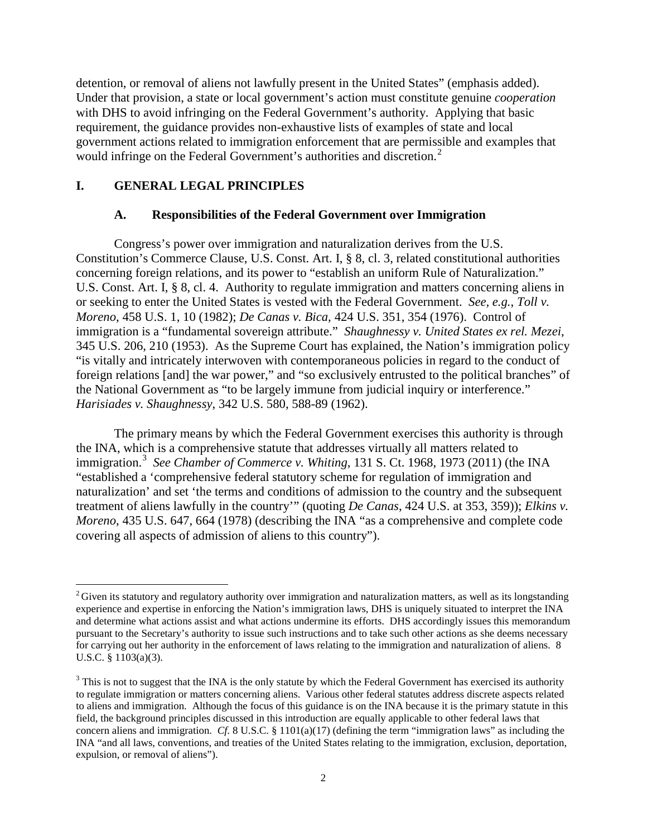detention, or removal of aliens not lawfully present in the United States" (emphasis added). Under that provision, a state or local government's action must constitute genuine *cooperation*  with DHS to avoid infringing on the Federal Government's authority. Applying that basic requirement, the guidance provides non-exhaustive lists of examples of state and local government actions related to immigration enforcement that are permissible and examples that would infringe on the Federal Government's authorities and discretion.<sup>[2](#page-1-0)</sup>

## **I. GENERAL LEGAL PRINCIPLES**

#### **A. Responsibilities of the Federal Government over Immigration**

Congress's power over immigration and naturalization derives from the U.S. Constitution's Commerce Clause, U.S. Const. Art. I, § 8, cl. 3, related constitutional authorities concerning foreign relations, and its power to "establish an uniform Rule of Naturalization." U.S. Const. Art. I, § 8, cl. 4. Authority to regulate immigration and matters concerning aliens in or seeking to enter the United States is vested with the Federal Government. *See, e.g.*, *Toll v. Moreno*, 458 U.S. 1, 10 (1982); *De Canas v. Bica*, 424 U.S. 351, 354 (1976). Control of immigration is a "fundamental sovereign attribute." *Shaughnessy v. United States ex rel. Mezei*, 345 U.S. 206, 210 (1953). As the Supreme Court has explained, the Nation's immigration policy "is vitally and intricately interwoven with contemporaneous policies in regard to the conduct of foreign relations [and] the war power," and "so exclusively entrusted to the political branches" of the National Government as "to be largely immune from judicial inquiry or interference." *Harisiades v. Shaughnessy*, 342 U.S. 580, 588-89 (1962).

The primary means by which the Federal Government exercises this authority is through the INA, which is a comprehensive statute that addresses virtually all matters related to immigration.<sup>[3](#page-1-1)</sup> See Chamber of Commerce v. Whiting, 131 S. Ct. 1968, 1973 (2011) (the INA "established a 'comprehensive federal statutory scheme for regulation of immigration and naturalization' and set 'the terms and conditions of admission to the country and the subsequent treatment of aliens lawfully in the country'" (quoting *De Canas*, 424 U.S. at 353, 359)); *Elkins v. Moreno*, 435 U.S. 647, 664 (1978) (describing the INA "as a comprehensive and complete code covering all aspects of admission of aliens to this country").

<span id="page-1-0"></span> $2$  Given its statutory and regulatory authority over immigration and naturalization matters, as well as its longstanding experience and expertise in enforcing the Nation's immigration laws, DHS is uniquely situated to interpret the INA and determine what actions assist and what actions undermine its efforts. DHS accordingly issues this memorandum pursuant to the Secretary's authority to issue such instructions and to take such other actions as she deems necessary for carrying out her authority in the enforcement of laws relating to the immigration and naturalization of aliens. 8 U.S.C. § 1103(a)(3).

<span id="page-1-1"></span><sup>&</sup>lt;sup>3</sup> This is not to suggest that the INA is the only statute by which the Federal Government has exercised its authority to regulate immigration or matters concerning aliens. Various other federal statutes address discrete aspects related to aliens and immigration. Although the focus of this guidance is on the INA because it is the primary statute in this field, the background principles discussed in this introduction are equally applicable to other federal laws that concern aliens and immigration. *Cf*. 8 U.S.C. § 1101(a)(17) (defining the term "immigration laws" as including the INA "and all laws, conventions, and treaties of the United States relating to the immigration, exclusion, deportation, expulsion, or removal of aliens").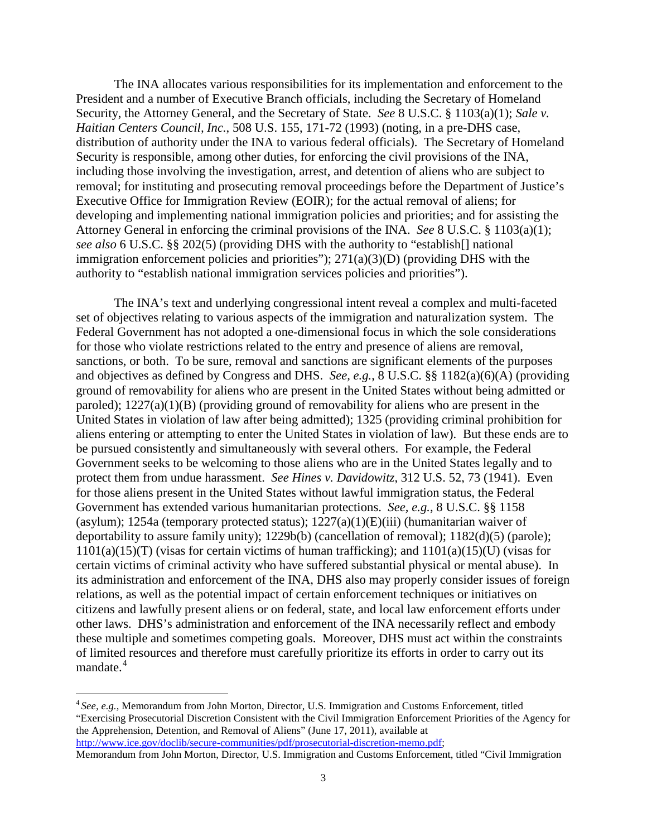The INA allocates various responsibilities for its implementation and enforcement to the President and a number of Executive Branch officials, including the Secretary of Homeland Security, the Attorney General, and the Secretary of State. *See* 8 U.S.C. § 1103(a)(1); *Sale v. Haitian Centers Council, Inc.*, 508 U.S. 155, 171-72 (1993) (noting, in a pre-DHS case, distribution of authority under the INA to various federal officials). The Secretary of Homeland Security is responsible, among other duties, for enforcing the civil provisions of the INA, including those involving the investigation, arrest, and detention of aliens who are subject to removal; for instituting and prosecuting removal proceedings before the Department of Justice's Executive Office for Immigration Review (EOIR); for the actual removal of aliens; for developing and implementing national immigration policies and priorities; and for assisting the Attorney General in enforcing the criminal provisions of the INA. *See* 8 U.S.C. § 1103(a)(1); *see also* 6 U.S.C. §§ 202(5) (providing DHS with the authority to "establish[] national immigration enforcement policies and priorities"); 271(a)(3)(D) (providing DHS with the authority to "establish national immigration services policies and priorities").

The INA's text and underlying congressional intent reveal a complex and multi-faceted set of objectives relating to various aspects of the immigration and naturalization system. The Federal Government has not adopted a one-dimensional focus in which the sole considerations for those who violate restrictions related to the entry and presence of aliens are removal, sanctions, or both. To be sure, removal and sanctions are significant elements of the purposes and objectives as defined by Congress and DHS. *See, e.g.*, 8 U.S.C. §§ 1182(a)(6)(A) (providing ground of removability for aliens who are present in the United States without being admitted or paroled); 1227(a)(1)(B) (providing ground of removability for aliens who are present in the United States in violation of law after being admitted); 1325 (providing criminal prohibition for aliens entering or attempting to enter the United States in violation of law). But these ends are to be pursued consistently and simultaneously with several others. For example, the Federal Government seeks to be welcoming to those aliens who are in the United States legally and to protect them from undue harassment. *See Hines v. Davidowitz*, 312 U.S. 52, 73 (1941). Even for those aliens present in the United States without lawful immigration status, the Federal Government has extended various humanitarian protections. *See, e.g.*, 8 U.S.C. §§ 1158 (asylum); 1254a (temporary protected status);  $1227(a)(1)(E)(iii)$  (humanitarian waiver of deportability to assure family unity); 1229b(b) (cancellation of removal); 1182(d)(5) (parole); 1101(a)(15)(T) (visas for certain victims of human trafficking); and 1101(a)(15)(U) (visas for certain victims of criminal activity who have suffered substantial physical or mental abuse). In its administration and enforcement of the INA, DHS also may properly consider issues of foreign relations, as well as the potential impact of certain enforcement techniques or initiatives on citizens and lawfully present aliens or on federal, state, and local law enforcement efforts under other laws. DHS's administration and enforcement of the INA necessarily reflect and embody these multiple and sometimes competing goals. Moreover, DHS must act within the constraints of limited resources and therefore must carefully prioritize its efforts in order to carry out its mandate.<sup>[4](#page-2-0)</sup>

<span id="page-2-0"></span> <sup>4</sup> *See, e.g.*, Memorandum from John Morton, Director, U.S. Immigration and Customs Enforcement, titled "Exercising Prosecutorial Discretion Consistent with the Civil Immigration Enforcement Priorities of the Agency for the Apprehension, Detention, and Removal of Aliens" (June 17, 2011), available at [http://www.ice.gov/doclib/secure-communities/pdf/prosecutorial-discretion-memo.pdf;](http://www.ice.gov/doclib/secure-communities/pdf/prosecutorial-discretion-memo.pdf) 

Memorandum from John Morton, Director, U.S. Immigration and Customs Enforcement, titled "Civil Immigration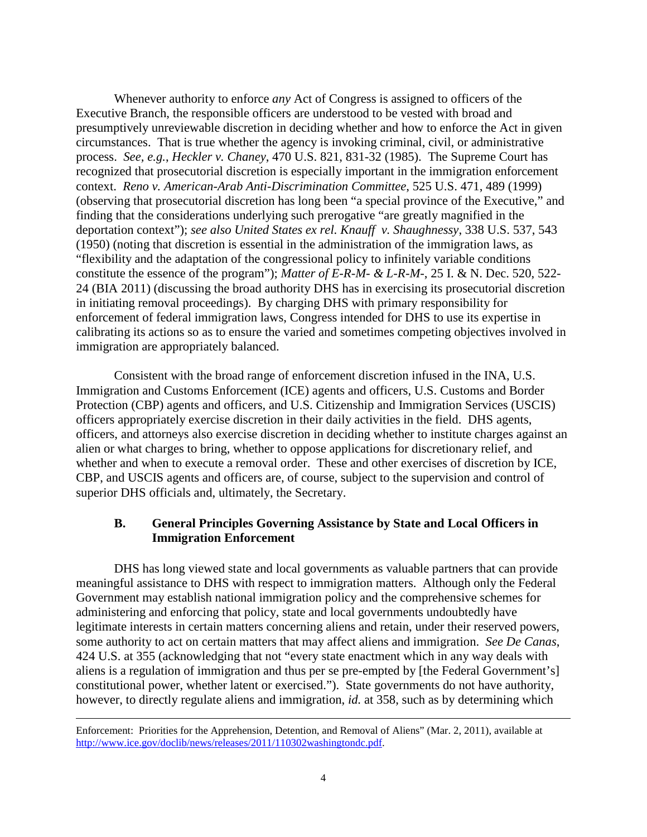Whenever authority to enforce *any* Act of Congress is assigned to officers of the Executive Branch, the responsible officers are understood to be vested with broad and presumptively unreviewable discretion in deciding whether and how to enforce the Act in given circumstances. That is true whether the agency is invoking criminal, civil, or administrative process. *See, e.g.*, *Heckler v. Chaney*, 470 U.S. 821, 831-32 (1985). The Supreme Court has recognized that prosecutorial discretion is especially important in the immigration enforcement context. *Reno v. American-Arab Anti-Discrimination Committee*, 525 U.S. 471, 489 (1999) (observing that prosecutorial discretion has long been "a special province of the Executive," and finding that the considerations underlying such prerogative "are greatly magnified in the deportation context"); *see also United States ex rel. Knauff v. Shaughnessy*, 338 U.S. 537, 543 (1950) (noting that discretion is essential in the administration of the immigration laws, as "flexibility and the adaptation of the congressional policy to infinitely variable conditions constitute the essence of the program"); *Matter of E-R-M- & L-R-M-*, 25 I. & N. Dec. 520, 522- 24 (BIA 2011) (discussing the broad authority DHS has in exercising its prosecutorial discretion in initiating removal proceedings). By charging DHS with primary responsibility for enforcement of federal immigration laws, Congress intended for DHS to use its expertise in calibrating its actions so as to ensure the varied and sometimes competing objectives involved in immigration are appropriately balanced.

Consistent with the broad range of enforcement discretion infused in the INA, U.S. Immigration and Customs Enforcement (ICE) agents and officers, U.S. Customs and Border Protection (CBP) agents and officers, and U.S. Citizenship and Immigration Services (USCIS) officers appropriately exercise discretion in their daily activities in the field. DHS agents, officers, and attorneys also exercise discretion in deciding whether to institute charges against an alien or what charges to bring, whether to oppose applications for discretionary relief, and whether and when to execute a removal order. These and other exercises of discretion by ICE, CBP, and USCIS agents and officers are, of course, subject to the supervision and control of superior DHS officials and, ultimately, the Secretary.

### **B. General Principles Governing Assistance by State and Local Officers in Immigration Enforcement**

DHS has long viewed state and local governments as valuable partners that can provide meaningful assistance to DHS with respect to immigration matters. Although only the Federal Government may establish national immigration policy and the comprehensive schemes for administering and enforcing that policy, state and local governments undoubtedly have legitimate interests in certain matters concerning aliens and retain, under their reserved powers, some authority to act on certain matters that may affect aliens and immigration. *See De Canas*, 424 U.S. at 355 (acknowledging that not "every state enactment which in any way deals with aliens is a regulation of immigration and thus per se pre-empted by [the Federal Government's] constitutional power, whether latent or exercised."). State governments do not have authority, however, to directly regulate aliens and immigration, *id.* at 358, such as by determining which

 Enforcement: Priorities for the Apprehension, Detention, and Removal of Aliens" (Mar. 2, 2011), available at [http://www.ice.gov/doclib/news/releases/2011/110302washingtondc.pdf.](http://www.ice.gov/doclib/news/releases/2011/110302washingtondc.pdf)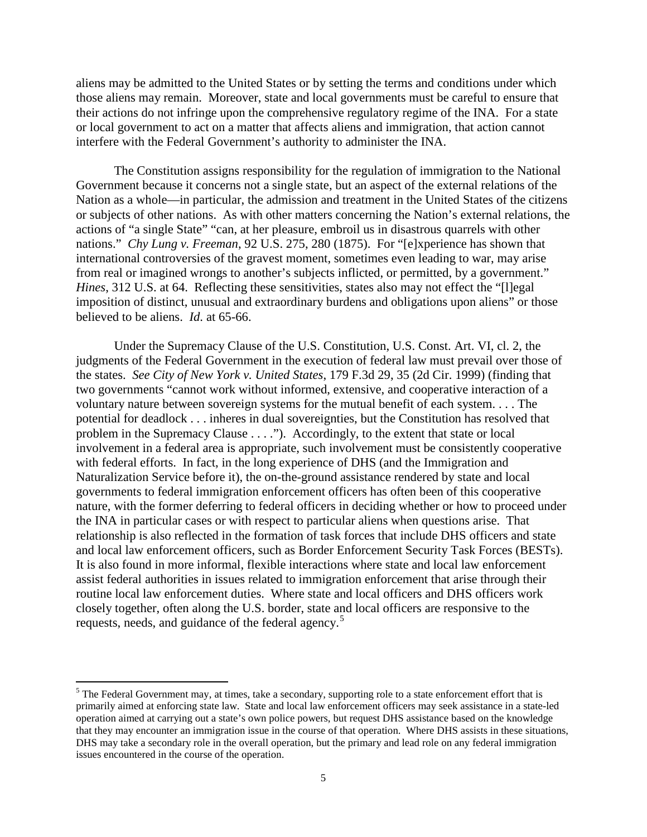aliens may be admitted to the United States or by setting the terms and conditions under which those aliens may remain. Moreover, state and local governments must be careful to ensure that their actions do not infringe upon the comprehensive regulatory regime of the INA. For a state or local government to act on a matter that affects aliens and immigration, that action cannot interfere with the Federal Government's authority to administer the INA.

The Constitution assigns responsibility for the regulation of immigration to the National Government because it concerns not a single state, but an aspect of the external relations of the Nation as a whole—in particular, the admission and treatment in the United States of the citizens or subjects of other nations. As with other matters concerning the Nation's external relations, the actions of "a single State" "can, at her pleasure, embroil us in disastrous quarrels with other nations." *Chy Lung v. Freeman*, 92 U.S. 275, 280 (1875). For "[e]xperience has shown that international controversies of the gravest moment, sometimes even leading to war, may arise from real or imagined wrongs to another's subjects inflicted, or permitted, by a government." *Hines*, 312 U.S. at 64. Reflecting these sensitivities, states also may not effect the "[l]egal imposition of distinct, unusual and extraordinary burdens and obligations upon aliens" or those believed to be aliens. *Id*. at 65-66.

Under the Supremacy Clause of the U.S. Constitution, U.S. Const. Art. VI, cl. 2, the judgments of the Federal Government in the execution of federal law must prevail over those of the states. *See City of New York v. United States*, 179 F.3d 29, 35 (2d Cir. 1999) (finding that two governments "cannot work without informed, extensive, and cooperative interaction of a voluntary nature between sovereign systems for the mutual benefit of each system. . . . The potential for deadlock . . . inheres in dual sovereignties, but the Constitution has resolved that problem in the Supremacy Clause . . . ."). Accordingly, to the extent that state or local involvement in a federal area is appropriate, such involvement must be consistently cooperative with federal efforts. In fact, in the long experience of DHS (and the Immigration and Naturalization Service before it), the on-the-ground assistance rendered by state and local governments to federal immigration enforcement officers has often been of this cooperative nature, with the former deferring to federal officers in deciding whether or how to proceed under the INA in particular cases or with respect to particular aliens when questions arise. That relationship is also reflected in the formation of task forces that include DHS officers and state and local law enforcement officers, such as Border Enforcement Security Task Forces (BESTs). It is also found in more informal, flexible interactions where state and local law enforcement assist federal authorities in issues related to immigration enforcement that arise through their routine local law enforcement duties. Where state and local officers and DHS officers work closely together, often along the U.S. border, state and local officers are responsive to the requests, needs, and guidance of the federal agency.<sup>[5](#page-4-0)</sup>

<span id="page-4-0"></span> $<sup>5</sup>$  The Federal Government may, at times, take a secondary, supporting role to a state enforcement effort that is</sup> primarily aimed at enforcing state law. State and local law enforcement officers may seek assistance in a state-led operation aimed at carrying out a state's own police powers, but request DHS assistance based on the knowledge that they may encounter an immigration issue in the course of that operation. Where DHS assists in these situations, DHS may take a secondary role in the overall operation, but the primary and lead role on any federal immigration issues encountered in the course of the operation.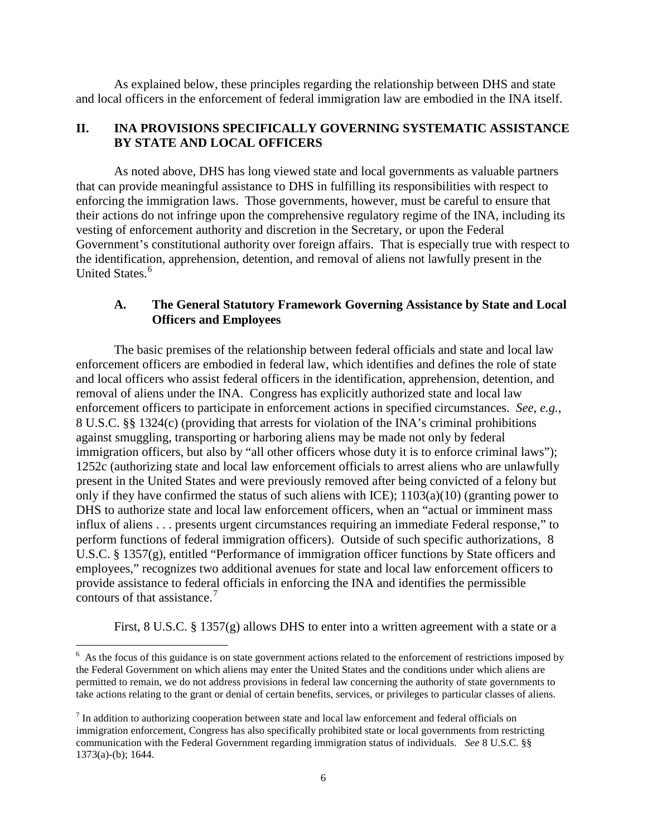As explained below, these principles regarding the relationship between DHS and state and local officers in the enforcement of federal immigration law are embodied in the INA itself.

### **II. INA PROVISIONS SPECIFICALLY GOVERNING SYSTEMATIC ASSISTANCE BY STATE AND LOCAL OFFICERS**

As noted above, DHS has long viewed state and local governments as valuable partners that can provide meaningful assistance to DHS in fulfilling its responsibilities with respect to enforcing the immigration laws. Those governments, however, must be careful to ensure that their actions do not infringe upon the comprehensive regulatory regime of the INA, including its vesting of enforcement authority and discretion in the Secretary, or upon the Federal Government's constitutional authority over foreign affairs. That is especially true with respect to the identification, apprehension, detention, and removal of aliens not lawfully present in the United States.<sup>[6](#page-5-0)</sup>

## **A. The General Statutory Framework Governing Assistance by State and Local Officers and Employees**

The basic premises of the relationship between federal officials and state and local law enforcement officers are embodied in federal law, which identifies and defines the role of state and local officers who assist federal officers in the identification, apprehension, detention, and removal of aliens under the INA. Congress has explicitly authorized state and local law enforcement officers to participate in enforcement actions in specified circumstances. *See, e.g.*, 8 U.S.C. §§ 1324(c) (providing that arrests for violation of the INA's criminal prohibitions against smuggling, transporting or harboring aliens may be made not only by federal immigration officers, but also by "all other officers whose duty it is to enforce criminal laws"); 1252c (authorizing state and local law enforcement officials to arrest aliens who are unlawfully present in the United States and were previously removed after being convicted of a felony but only if they have confirmed the status of such aliens with ICE); 1103(a)(10) (granting power to DHS to authorize state and local law enforcement officers, when an "actual or imminent mass influx of aliens . . . presents urgent circumstances requiring an immediate Federal response," to perform functions of federal immigration officers). Outside of such specific authorizations, 8 U.S.C. § 1357(g), entitled "Performance of immigration officer functions by State officers and employees," recognizes two additional avenues for state and local law enforcement officers to provide assistance to federal officials in enforcing the INA and identifies the permissible contours of that assistance.<sup>[7](#page-5-1)</sup>

First, 8 U.S.C. § 1357(g) allows DHS to enter into a written agreement with a state or a

<span id="page-5-0"></span> <sup>6</sup>  $6$  As the focus of this guidance is on state government actions related to the enforcement of restrictions imposed by the Federal Government on which aliens may enter the United States and the conditions under which aliens are permitted to remain, we do not address provisions in federal law concerning the authority of state governments to take actions relating to the grant or denial of certain benefits, services, or privileges to particular classes of aliens.

<span id="page-5-1"></span> $<sup>7</sup>$  In addition to authorizing cooperation between state and local law enforcement and federal officials on</sup> immigration enforcement, Congress has also specifically prohibited state or local governments from restricting communication with the Federal Government regarding immigration status of individuals. *See* 8 U.S.C. §§ 1373(a)-(b); 1644.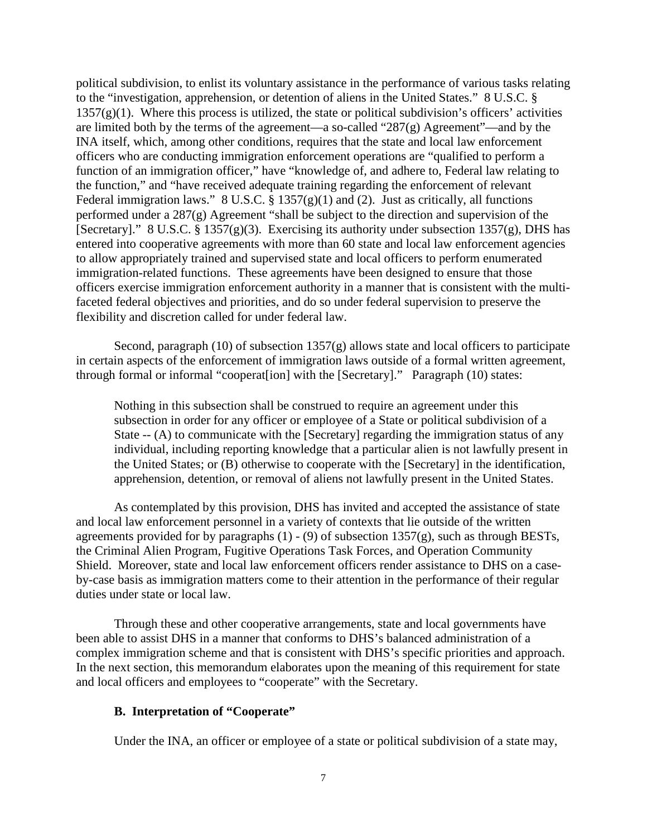political subdivision, to enlist its voluntary assistance in the performance of various tasks relating to the "investigation, apprehension, or detention of aliens in the United States." 8 U.S.C. §  $1357(g)(1)$ . Where this process is utilized, the state or political subdivision's officers' activities are limited both by the terms of the agreement—a so-called "287(g) Agreement"—and by the INA itself, which, among other conditions, requires that the state and local law enforcement officers who are conducting immigration enforcement operations are "qualified to perform a function of an immigration officer," have "knowledge of, and adhere to, Federal law relating to the function," and "have received adequate training regarding the enforcement of relevant Federal immigration laws." 8 U.S.C. § 1357(g)(1) and (2). Just as critically, all functions performed under a 287(g) Agreement "shall be subject to the direction and supervision of the [Secretary]." 8 U.S.C.  $\frac{8}{3}$  1357(g)(3). Exercising its authority under subsection 1357(g), DHS has entered into cooperative agreements with more than 60 state and local law enforcement agencies to allow appropriately trained and supervised state and local officers to perform enumerated immigration-related functions. These agreements have been designed to ensure that those officers exercise immigration enforcement authority in a manner that is consistent with the multifaceted federal objectives and priorities, and do so under federal supervision to preserve the flexibility and discretion called for under federal law.

Second, paragraph (10) of subsection 1357(g) allows state and local officers to participate in certain aspects of the enforcement of immigration laws outside of a formal written agreement, through formal or informal "cooperat[ion] with the [Secretary]." Paragraph (10) states:

Nothing in this subsection shall be construed to require an agreement under this subsection in order for any officer or employee of a State or political subdivision of a State -- (A) to communicate with the [Secretary] regarding the immigration status of any individual, including reporting knowledge that a particular alien is not lawfully present in the United States; or (B) otherwise to cooperate with the [Secretary] in the identification, apprehension, detention, or removal of aliens not lawfully present in the United States.

As contemplated by this provision, DHS has invited and accepted the assistance of state and local law enforcement personnel in a variety of contexts that lie outside of the written agreements provided for by paragraphs  $(1)$  -  $(9)$  of subsection 1357 $(g)$ , such as through BESTs, the Criminal Alien Program, Fugitive Operations Task Forces, and Operation Community Shield. Moreover, state and local law enforcement officers render assistance to DHS on a caseby-case basis as immigration matters come to their attention in the performance of their regular duties under state or local law.

Through these and other cooperative arrangements, state and local governments have been able to assist DHS in a manner that conforms to DHS's balanced administration of a complex immigration scheme and that is consistent with DHS's specific priorities and approach. In the next section, this memorandum elaborates upon the meaning of this requirement for state and local officers and employees to "cooperate" with the Secretary.

#### **B. Interpretation of "Cooperate"**

Under the INA, an officer or employee of a state or political subdivision of a state may,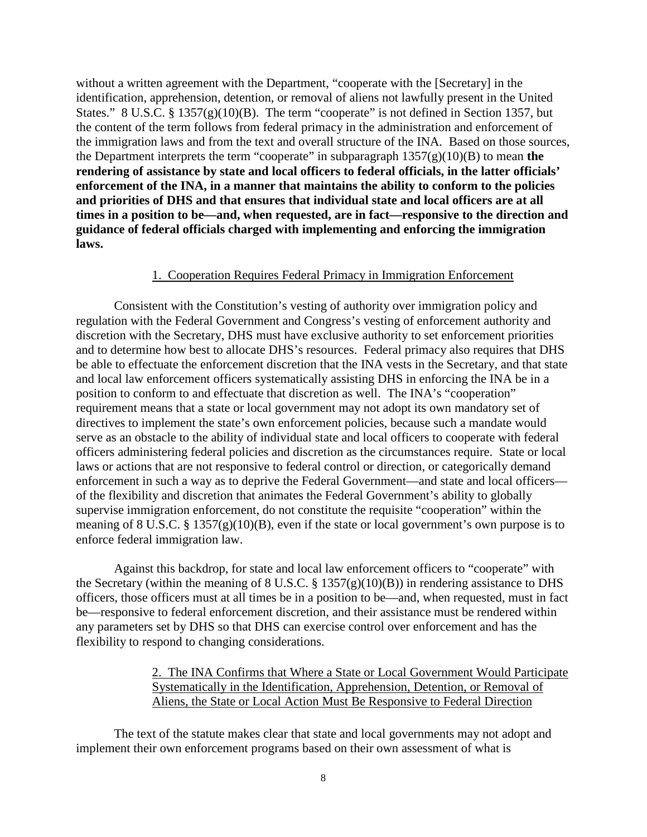without a written agreement with the Department, "cooperate with the [Secretary] in the identification, apprehension, detention, or removal of aliens not lawfully present in the United States." 8 U.S.C. § 1357(g)(10)(B). The term "cooperate" is not defined in Section 1357, but the content of the term follows from federal primacy in the administration and enforcement of the immigration laws and from the text and overall structure of the INA. Based on those sources, the Department interprets the term "cooperate" in subparagraph 1357(g)(10)(B) to mean **the rendering of assistance by state and local officers to federal officials, in the latter officials' enforcement of the INA, in a manner that maintains the ability to conform to the policies and priorities of DHS and that ensures that individual state and local officers are at all times in a position to be—and, when requested, are in fact—responsive to the direction and guidance of federal officials charged with implementing and enforcing the immigration laws.**

#### 1. Cooperation Requires Federal Primacy in Immigration Enforcement

Consistent with the Constitution's vesting of authority over immigration policy and regulation with the Federal Government and Congress's vesting of enforcement authority and discretion with the Secretary, DHS must have exclusive authority to set enforcement priorities and to determine how best to allocate DHS's resources. Federal primacy also requires that DHS be able to effectuate the enforcement discretion that the INA vests in the Secretary, and that state and local law enforcement officers systematically assisting DHS in enforcing the INA be in a position to conform to and effectuate that discretion as well. The INA's "cooperation" requirement means that a state or local government may not adopt its own mandatory set of directives to implement the state's own enforcement policies, because such a mandate would serve as an obstacle to the ability of individual state and local officers to cooperate with federal officers administering federal policies and discretion as the circumstances require. State or local laws or actions that are not responsive to federal control or direction, or categorically demand enforcement in such a way as to deprive the Federal Government—and state and local officers of the flexibility and discretion that animates the Federal Government's ability to globally supervise immigration enforcement, do not constitute the requisite "cooperation" within the meaning of 8 U.S.C. § 1357(g)(10)(B), even if the state or local government's own purpose is to enforce federal immigration law.

Against this backdrop, for state and local law enforcement officers to "cooperate" with the Secretary (within the meaning of 8 U.S.C.  $\S$  1357(g)(10)(B)) in rendering assistance to DHS officers, those officers must at all times be in a position to be—and, when requested, must in fact be—responsive to federal enforcement discretion, and their assistance must be rendered within any parameters set by DHS so that DHS can exercise control over enforcement and has the flexibility to respond to changing considerations.

> 2. The INA Confirms that Where a State or Local Government Would Participate Systematically in the Identification, Apprehension, Detention, or Removal of Aliens, the State or Local Action Must Be Responsive to Federal Direction

The text of the statute makes clear that state and local governments may not adopt and implement their own enforcement programs based on their own assessment of what is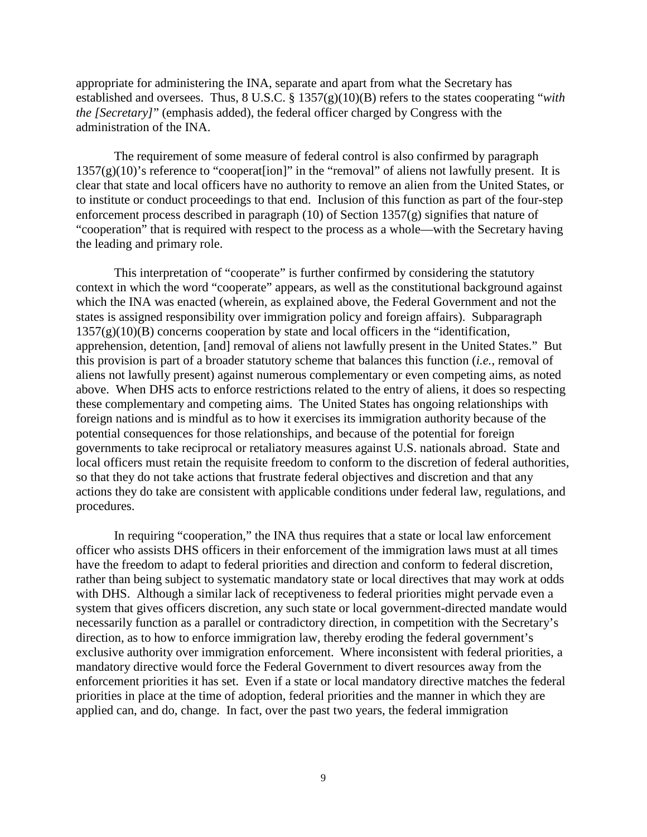appropriate for administering the INA, separate and apart from what the Secretary has established and oversees. Thus, 8 U.S.C. § 1357(g)(10)(B) refers to the states cooperating "*with the [Secretary]*" (emphasis added), the federal officer charged by Congress with the administration of the INA.

The requirement of some measure of federal control is also confirmed by paragraph  $1357(g)(10)$ 's reference to "cooperate ion" in the "removal" of aliens not lawfully present. It is clear that state and local officers have no authority to remove an alien from the United States, or to institute or conduct proceedings to that end. Inclusion of this function as part of the four-step enforcement process described in paragraph (10) of Section 1357(g) signifies that nature of "cooperation" that is required with respect to the process as a whole—with the Secretary having the leading and primary role.

This interpretation of "cooperate" is further confirmed by considering the statutory context in which the word "cooperate" appears, as well as the constitutional background against which the INA was enacted (wherein, as explained above, the Federal Government and not the states is assigned responsibility over immigration policy and foreign affairs). Subparagraph  $1357(g)(10)(B)$  concerns cooperation by state and local officers in the "identification, apprehension, detention, [and] removal of aliens not lawfully present in the United States." But this provision is part of a broader statutory scheme that balances this function (*i.e.*, removal of aliens not lawfully present) against numerous complementary or even competing aims, as noted above. When DHS acts to enforce restrictions related to the entry of aliens, it does so respecting these complementary and competing aims. The United States has ongoing relationships with foreign nations and is mindful as to how it exercises its immigration authority because of the potential consequences for those relationships, and because of the potential for foreign governments to take reciprocal or retaliatory measures against U.S. nationals abroad. State and local officers must retain the requisite freedom to conform to the discretion of federal authorities, so that they do not take actions that frustrate federal objectives and discretion and that any actions they do take are consistent with applicable conditions under federal law, regulations, and procedures.

In requiring "cooperation," the INA thus requires that a state or local law enforcement officer who assists DHS officers in their enforcement of the immigration laws must at all times have the freedom to adapt to federal priorities and direction and conform to federal discretion, rather than being subject to systematic mandatory state or local directives that may work at odds with DHS. Although a similar lack of receptiveness to federal priorities might pervade even a system that gives officers discretion, any such state or local government-directed mandate would necessarily function as a parallel or contradictory direction, in competition with the Secretary's direction, as to how to enforce immigration law, thereby eroding the federal government's exclusive authority over immigration enforcement. Where inconsistent with federal priorities, a mandatory directive would force the Federal Government to divert resources away from the enforcement priorities it has set. Even if a state or local mandatory directive matches the federal priorities in place at the time of adoption, federal priorities and the manner in which they are applied can, and do, change. In fact, over the past two years, the federal immigration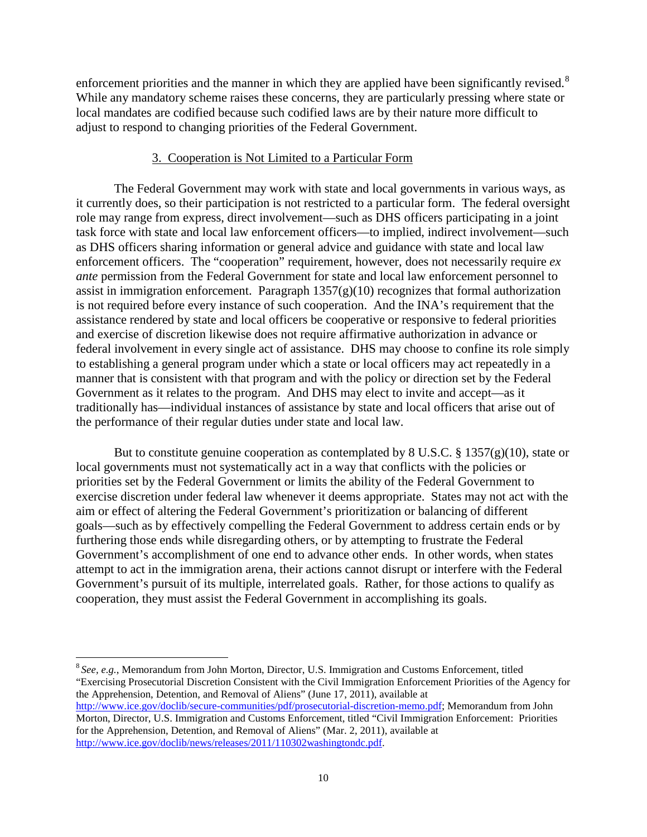enforcement priorities and the manner in which they are applied have been significantly revised.<sup>[8](#page-9-0)</sup> While any mandatory scheme raises these concerns, they are particularly pressing where state or local mandates are codified because such codified laws are by their nature more difficult to adjust to respond to changing priorities of the Federal Government.

#### 3. Cooperation is Not Limited to a Particular Form

The Federal Government may work with state and local governments in various ways, as it currently does, so their participation is not restricted to a particular form. The federal oversight role may range from express, direct involvement—such as DHS officers participating in a joint task force with state and local law enforcement officers—to implied, indirect involvement—such as DHS officers sharing information or general advice and guidance with state and local law enforcement officers. The "cooperation" requirement, however, does not necessarily require *ex ante* permission from the Federal Government for state and local law enforcement personnel to assist in immigration enforcement. Paragraph  $1357(g)(10)$  recognizes that formal authorization is not required before every instance of such cooperation. And the INA's requirement that the assistance rendered by state and local officers be cooperative or responsive to federal priorities and exercise of discretion likewise does not require affirmative authorization in advance or federal involvement in every single act of assistance. DHS may choose to confine its role simply to establishing a general program under which a state or local officers may act repeatedly in a manner that is consistent with that program and with the policy or direction set by the Federal Government as it relates to the program. And DHS may elect to invite and accept—as it traditionally has—individual instances of assistance by state and local officers that arise out of the performance of their regular duties under state and local law.

But to constitute genuine cooperation as contemplated by 8 U.S.C. § 1357(g)(10), state or local governments must not systematically act in a way that conflicts with the policies or priorities set by the Federal Government or limits the ability of the Federal Government to exercise discretion under federal law whenever it deems appropriate. States may not act with the aim or effect of altering the Federal Government's prioritization or balancing of different goals—such as by effectively compelling the Federal Government to address certain ends or by furthering those ends while disregarding others, or by attempting to frustrate the Federal Government's accomplishment of one end to advance other ends. In other words, when states attempt to act in the immigration arena, their actions cannot disrupt or interfere with the Federal Government's pursuit of its multiple, interrelated goals. Rather, for those actions to qualify as cooperation, they must assist the Federal Government in accomplishing its goals.

<span id="page-9-0"></span> 8 *See, e.g.*, Memorandum from John Morton, Director, U.S. Immigration and Customs Enforcement, titled "Exercising Prosecutorial Discretion Consistent with the Civil Immigration Enforcement Priorities of the Agency for the Apprehension, Detention, and Removal of Aliens" (June 17, 2011), available at [http://www.ice.gov/doclib/secure-communities/pdf/prosecutorial-discretion-memo.pdf;](http://www.ice.gov/doclib/secure-communities/pdf/prosecutorial-discretion-memo.pdf) Memorandum from John Morton, Director, U.S. Immigration and Customs Enforcement, titled "Civil Immigration Enforcement: Priorities

for the Apprehension, Detention, and Removal of Aliens" (Mar. 2, 2011), available at [http://www.ice.gov/doclib/news/releases/2011/110302washingtondc.pdf.](http://www.ice.gov/doclib/news/releases/2011/110302washingtondc.pdf)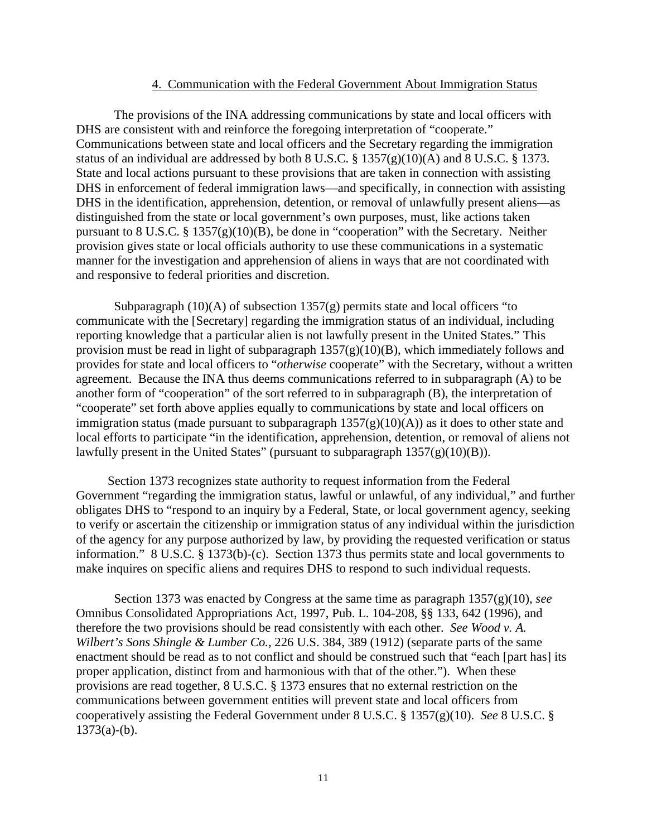#### 4. Communication with the Federal Government About Immigration Status

The provisions of the INA addressing communications by state and local officers with DHS are consistent with and reinforce the foregoing interpretation of "cooperate." Communications between state and local officers and the Secretary regarding the immigration status of an individual are addressed by both 8 U.S.C.  $\S$  1357(g)(10)(A) and 8 U.S.C.  $\S$  1373. State and local actions pursuant to these provisions that are taken in connection with assisting DHS in enforcement of federal immigration laws—and specifically, in connection with assisting DHS in the identification, apprehension, detention, or removal of unlawfully present aliens—as distinguished from the state or local government's own purposes, must, like actions taken pursuant to 8 U.S.C. § 1357(g)(10)(B), be done in "cooperation" with the Secretary. Neither provision gives state or local officials authority to use these communications in a systematic manner for the investigation and apprehension of aliens in ways that are not coordinated with and responsive to federal priorities and discretion.

Subparagraph  $(10)(A)$  of subsection  $1357(g)$  permits state and local officers "to communicate with the [Secretary] regarding the immigration status of an individual, including reporting knowledge that a particular alien is not lawfully present in the United States." This provision must be read in light of subparagraph  $1357(g)(10)(B)$ , which immediately follows and provides for state and local officers to "*otherwise* cooperate" with the Secretary, without a written agreement. Because the INA thus deems communications referred to in subparagraph (A) to be another form of "cooperation" of the sort referred to in subparagraph (B), the interpretation of "cooperate" set forth above applies equally to communications by state and local officers on immigration status (made pursuant to subparagraph  $1357(g)(10)(A)$ ) as it does to other state and local efforts to participate "in the identification, apprehension, detention, or removal of aliens not lawfully present in the United States" (pursuant to subparagraph 1357(g)(10)(B)).

 Section 1373 recognizes state authority to request information from the Federal Government "regarding the immigration status, lawful or unlawful, of any individual," and further obligates DHS to "respond to an inquiry by a Federal, State, or local government agency, seeking to verify or ascertain the citizenship or immigration status of any individual within the jurisdiction of the agency for any purpose authorized by law, by providing the requested verification or status information." 8 U.S.C. § 1373(b)-(c). Section 1373 thus permits state and local governments to make inquires on specific aliens and requires DHS to respond to such individual requests.

Section 1373 was enacted by Congress at the same time as paragraph 1357(g)(10), *see*  Omnibus Consolidated Appropriations Act, 1997, Pub. L. 104-208, §§ 133, 642 (1996), and therefore the two provisions should be read consistently with each other. *See Wood v. A. Wilbert's Sons Shingle & Lumber Co.*, 226 U.S. 384, 389 (1912) (separate parts of the same enactment should be read as to not conflict and should be construed such that "each [part has] its proper application, distinct from and harmonious with that of the other."). When these provisions are read together, 8 U.S.C. § 1373 ensures that no external restriction on the communications between government entities will prevent state and local officers from cooperatively assisting the Federal Government under 8 U.S.C. § 1357(g)(10). *See* 8 U.S.C. §  $1373(a)-(b)$ .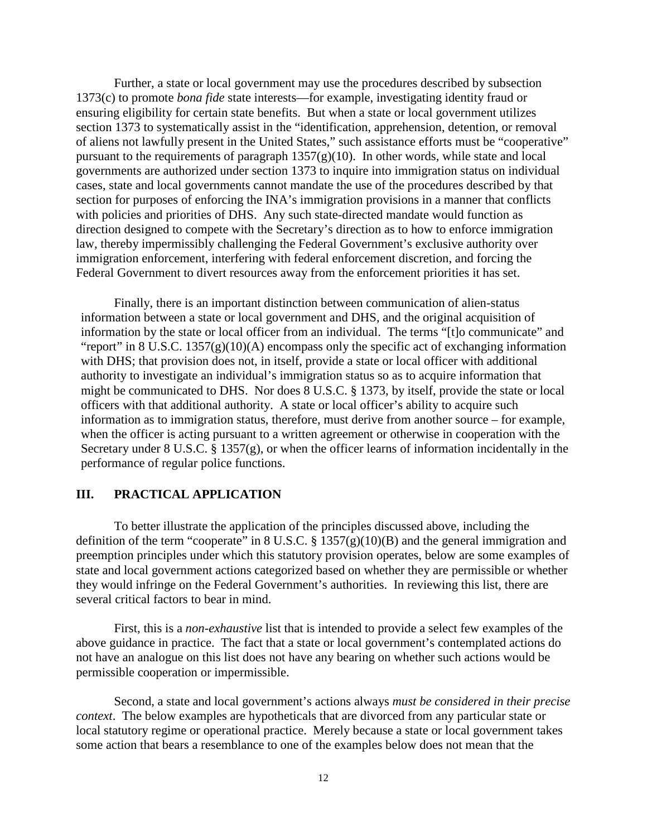Further, a state or local government may use the procedures described by subsection 1373(c) to promote *bona fide* state interests—for example, investigating identity fraud or ensuring eligibility for certain state benefits. But when a state or local government utilizes section 1373 to systematically assist in the "identification, apprehension, detention, or removal of aliens not lawfully present in the United States," such assistance efforts must be "cooperative" pursuant to the requirements of paragraph  $1357(g)(10)$ . In other words, while state and local governments are authorized under section 1373 to inquire into immigration status on individual cases, state and local governments cannot mandate the use of the procedures described by that section for purposes of enforcing the INA's immigration provisions in a manner that conflicts with policies and priorities of DHS. Any such state-directed mandate would function as direction designed to compete with the Secretary's direction as to how to enforce immigration law, thereby impermissibly challenging the Federal Government's exclusive authority over immigration enforcement, interfering with federal enforcement discretion, and forcing the Federal Government to divert resources away from the enforcement priorities it has set.

Finally, there is an important distinction between communication of alien-status information between a state or local government and DHS, and the original acquisition of information by the state or local officer from an individual. The terms "[t]o communicate" and "report" in 8 U.S.C.  $1357(g)(10)(A)$  encompass only the specific act of exchanging information with DHS; that provision does not, in itself, provide a state or local officer with additional authority to investigate an individual's immigration status so as to acquire information that might be communicated to DHS. Nor does 8 U.S.C. § 1373, by itself, provide the state or local officers with that additional authority. A state or local officer's ability to acquire such information as to immigration status, therefore, must derive from another source – for example, when the officer is acting pursuant to a written agreement or otherwise in cooperation with the Secretary under  $8 \text{ U.S.C. } \frac{8}{357(g)}$ , or when the officer learns of information incidentally in the performance of regular police functions.

### **III. PRACTICAL APPLICATION**

To better illustrate the application of the principles discussed above, including the definition of the term "cooperate" in 8 U.S.C. §  $1357(g)(10)(B)$  and the general immigration and preemption principles under which this statutory provision operates, below are some examples of state and local government actions categorized based on whether they are permissible or whether they would infringe on the Federal Government's authorities. In reviewing this list, there are several critical factors to bear in mind.

First, this is a *non-exhaustive* list that is intended to provide a select few examples of the above guidance in practice. The fact that a state or local government's contemplated actions do not have an analogue on this list does not have any bearing on whether such actions would be permissible cooperation or impermissible.

Second, a state and local government's actions always *must be considered in their precise context*. The below examples are hypotheticals that are divorced from any particular state or local statutory regime or operational practice. Merely because a state or local government takes some action that bears a resemblance to one of the examples below does not mean that the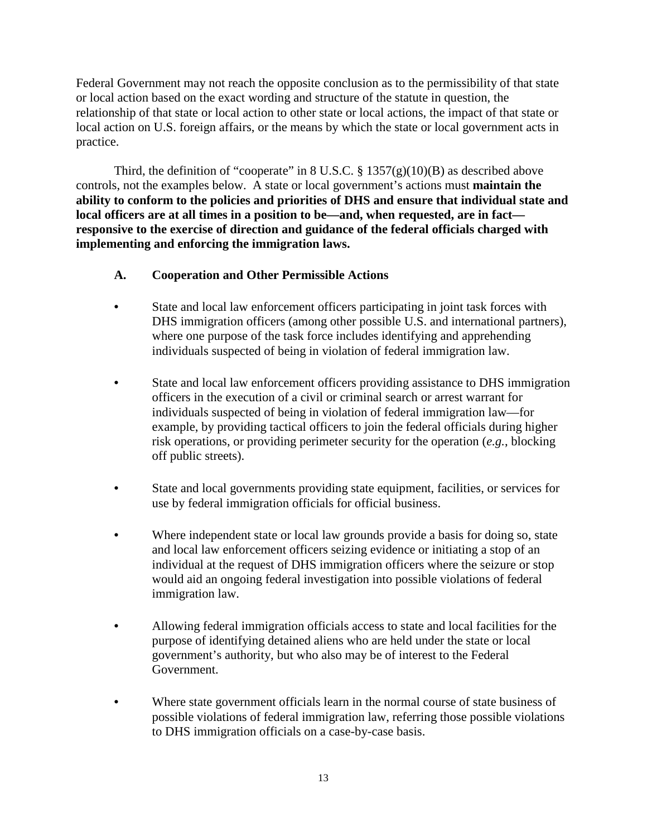Federal Government may not reach the opposite conclusion as to the permissibility of that state or local action based on the exact wording and structure of the statute in question, the relationship of that state or local action to other state or local actions, the impact of that state or local action on U.S. foreign affairs, or the means by which the state or local government acts in practice.

Third, the definition of "cooperate" in 8 U.S.C. §  $1357(g)(10)(B)$  as described above controls, not the examples below. A state or local government's actions must **maintain the ability to conform to the policies and priorities of DHS and ensure that individual state and local officers are at all times in a position to be—and, when requested, are in fact responsive to the exercise of direction and guidance of the federal officials charged with implementing and enforcing the immigration laws.**

# **A. Cooperation and Other Permissible Actions**

- State and local law enforcement officers participating in joint task forces with DHS immigration officers (among other possible U.S. and international partners), where one purpose of the task force includes identifying and apprehending individuals suspected of being in violation of federal immigration law.
- State and local law enforcement officers providing assistance to DHS immigration officers in the execution of a civil or criminal search or arrest warrant for individuals suspected of being in violation of federal immigration law—for example, by providing tactical officers to join the federal officials during higher risk operations, or providing perimeter security for the operation (*e.g.*, blocking off public streets).
- State and local governments providing state equipment, facilities, or services for use by federal immigration officials for official business.
- Where independent state or local law grounds provide a basis for doing so, state and local law enforcement officers seizing evidence or initiating a stop of an individual at the request of DHS immigration officers where the seizure or stop would aid an ongoing federal investigation into possible violations of federal immigration law.
- Allowing federal immigration officials access to state and local facilities for the purpose of identifying detained aliens who are held under the state or local government's authority, but who also may be of interest to the Federal Government.
- Where state government officials learn in the normal course of state business of possible violations of federal immigration law, referring those possible violations to DHS immigration officials on a case-by-case basis.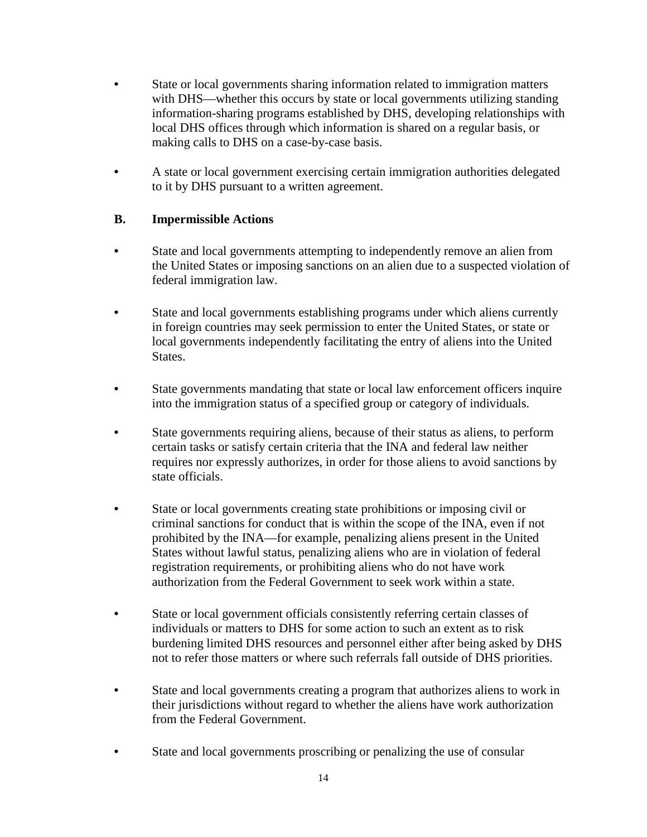- State or local governments sharing information related to immigration matters with DHS—whether this occurs by state or local governments utilizing standing information-sharing programs established by DHS, developing relationships with local DHS offices through which information is shared on a regular basis, or making calls to DHS on a case-by-case basis.
- A state or local government exercising certain immigration authorities delegated to it by DHS pursuant to a written agreement.

# **B. Impermissible Actions**

- State and local governments attempting to independently remove an alien from the United States or imposing sanctions on an alien due to a suspected violation of federal immigration law.
- State and local governments establishing programs under which aliens currently in foreign countries may seek permission to enter the United States, or state or local governments independently facilitating the entry of aliens into the United States.
- State governments mandating that state or local law enforcement officers inquire into the immigration status of a specified group or category of individuals.
- State governments requiring aliens, because of their status as aliens, to perform certain tasks or satisfy certain criteria that the INA and federal law neither requires nor expressly authorizes, in order for those aliens to avoid sanctions by state officials.
- State or local governments creating state prohibitions or imposing civil or criminal sanctions for conduct that is within the scope of the INA, even if not prohibited by the INA—for example, penalizing aliens present in the United States without lawful status, penalizing aliens who are in violation of federal registration requirements, or prohibiting aliens who do not have work authorization from the Federal Government to seek work within a state.
- State or local government officials consistently referring certain classes of individuals or matters to DHS for some action to such an extent as to risk burdening limited DHS resources and personnel either after being asked by DHS not to refer those matters or where such referrals fall outside of DHS priorities.
- State and local governments creating a program that authorizes aliens to work in their jurisdictions without regard to whether the aliens have work authorization from the Federal Government.
- State and local governments proscribing or penalizing the use of consular